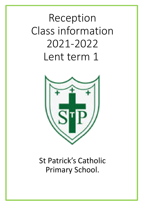# Reception Class information 2021-2022 Lent term 1



# St Patrick's Catholic Primary School.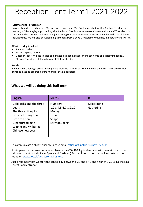## Reception Lent Term1 2021-2022

#### **Staff working in reception**

In reception class teachers are Mrs Newton-Hewlett and Mrs Pyatt supported by Mrs Bointon. Teaching in Nursery is Miss Bingley supported by Mrs Smith and Mrs Robinson. We continue to welcome NVQ students in the unit and Mrs Hurst continues to enjoy carrying out some wonderful adult led activities with the children at lunchtime. We will also be welcoming a student from Bishop Grosseteste University in February and March.

#### **What to bring to school**

- 2 water bottles
- Snack  $-$  a piece of fruit
- Outdoor shoes/ Wellies (please could these be kept in school and taken home on a Friday if needed).
- PE is on Thursday children to wear PE kit for the day

#### **Lunch**

If your child is having a school lunch please order via Parentmail. The menu for the term is available to view. Lunches must be ordered before midnight the night before.

### **What we will be doing this half term**

| <b>English</b>                                                                                                                                                        | <b>Maths</b>                                                                                | <b>RE</b>                |
|-----------------------------------------------------------------------------------------------------------------------------------------------------------------------|---------------------------------------------------------------------------------------------|--------------------------|
| Goldilocks and the three<br>bears<br>The three little pigs<br>Little red riding hood<br>Little red hen<br>Gingerbread man<br>Winnie and Wilbur at<br>Chinese new year | <b>Numbers</b><br>1, 2, 3, 4, 5, 6, 7, 8, 9, 10<br>Money<br>Time<br>Shape<br>Early doubling | Celebrating<br>Gathering |

To communicate a child's absence please email [office@st-patricksrc.notts.sch.uk](mailto:office@st-patricksrc.notts.sch.uk)

It is imperative that we continue to observe the COVID-19 guidelines and will maintain our current risk assessment (Hands, Face, Space and fresh air.) Further information on booking tests can be found on [www.gov.uk/get-coronavirus-test](http://www.gov.uk/get-coronavirus-test).

Just a reminder that we start the school day between 8.30 and 8.40 and finish at 3.20 using the Ling Forest Road entrance.